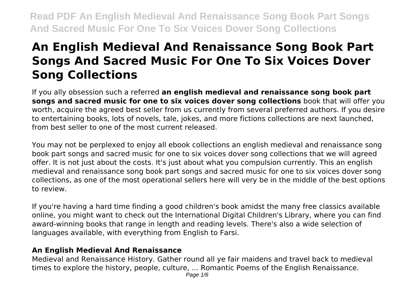# **An English Medieval And Renaissance Song Book Part Songs And Sacred Music For One To Six Voices Dover Song Collections**

If you ally obsession such a referred **an english medieval and renaissance song book part songs and sacred music for one to six voices dover song collections** book that will offer you worth, acquire the agreed best seller from us currently from several preferred authors. If you desire to entertaining books, lots of novels, tale, jokes, and more fictions collections are next launched, from best seller to one of the most current released.

You may not be perplexed to enjoy all ebook collections an english medieval and renaissance song book part songs and sacred music for one to six voices dover song collections that we will agreed offer. It is not just about the costs. It's just about what you compulsion currently. This an english medieval and renaissance song book part songs and sacred music for one to six voices dover song collections, as one of the most operational sellers here will very be in the middle of the best options to review.

If you're having a hard time finding a good children's book amidst the many free classics available online, you might want to check out the International Digital Children's Library, where you can find award-winning books that range in length and reading levels. There's also a wide selection of languages available, with everything from English to Farsi.

# **An English Medieval And Renaissance**

Medieval and Renaissance History. Gather round all ye fair maidens and travel back to medieval times to explore the history, people, culture, ... Romantic Poems of the English Renaissance.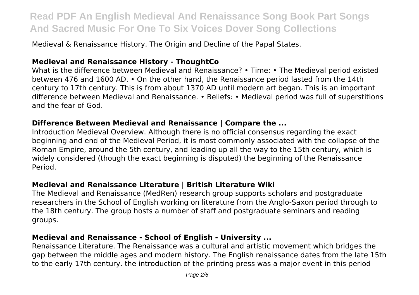Medieval & Renaissance History. The Origin and Decline of the Papal States.

#### **Medieval and Renaissance History - ThoughtCo**

What is the difference between Medieval and Renaissance? • Time: • The Medieval period existed between 476 and 1600 AD. • On the other hand, the Renaissance period lasted from the 14th century to 17th century. This is from about 1370 AD until modern art began. This is an important difference between Medieval and Renaissance. • Beliefs: • Medieval period was full of superstitions and the fear of God.

#### **Difference Between Medieval and Renaissance | Compare the ...**

Introduction Medieval Overview. Although there is no official consensus regarding the exact beginning and end of the Medieval Period, it is most commonly associated with the collapse of the Roman Empire, around the 5th century, and leading up all the way to the 15th century, which is widely considered (though the exact beginning is disputed) the beginning of the Renaissance Period.

#### **Medieval and Renaissance Literature | British Literature Wiki**

The Medieval and Renaissance (MedRen) research group supports scholars and postgraduate researchers in the School of English working on literature from the Anglo-Saxon period through to the 18th century. The group hosts a number of staff and postgraduate seminars and reading groups.

#### **Medieval and Renaissance - School of English - University ...**

Renaissance Literature. The Renaissance was a cultural and artistic movement which bridges the gap between the middle ages and modern history. The English renaissance dates from the late 15th to the early 17th century. the introduction of the printing press was a major event in this period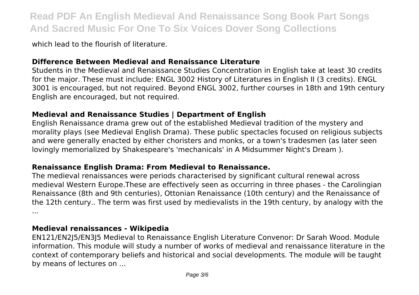which lead to the flourish of literature.

# **Difference Between Medieval and Renaissance Literature**

Students in the Medieval and Renaissance Studies Concentration in English take at least 30 credits for the major. These must include: ENGL 3002 History of Literatures in English II (3 credits). ENGL 3001 is encouraged, but not required. Beyond ENGL 3002, further courses in 18th and 19th century English are encouraged, but not required.

# **Medieval and Renaissance Studies | Department of English**

English Renaissance drama grew out of the established Medieval tradition of the mystery and morality plays (see Medieval English Drama). These public spectacles focused on religious subjects and were generally enacted by either choristers and monks, or a town's tradesmen (as later seen lovingly memorialized by Shakespeare's 'mechanicals' in A Midsummer Night's Dream ).

# **Renaissance English Drama: From Medieval to Renaissance.**

The medieval renaissances were periods characterised by significant cultural renewal across medieval Western Europe.These are effectively seen as occurring in three phases - the Carolingian Renaissance (8th and 9th centuries), Ottonian Renaissance (10th century) and the Renaissance of the 12th century.. The term was first used by medievalists in the 19th century, by analogy with the ...

# **Medieval renaissances - Wikipedia**

EN121/EN2J5/EN3J5 Medieval to Renaissance English Literature Convenor: Dr Sarah Wood. Module information. This module will study a number of works of medieval and renaissance literature in the context of contemporary beliefs and historical and social developments. The module will be taught by means of lectures on ...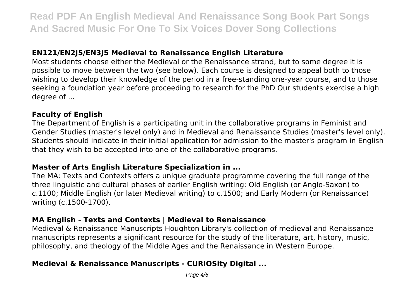#### **EN121/EN2J5/EN3J5 Medieval to Renaissance English Literature**

Most students choose either the Medieval or the Renaissance strand, but to some degree it is possible to move between the two (see below). Each course is designed to appeal both to those wishing to develop their knowledge of the period in a free-standing one-year course, and to those seeking a foundation year before proceeding to research for the PhD Our students exercise a high degree of ...

#### **Faculty of English**

The Department of English is a participating unit in the collaborative programs in Feminist and Gender Studies (master's level only) and in Medieval and Renaissance Studies (master's level only). Students should indicate in their initial application for admission to the master's program in English that they wish to be accepted into one of the collaborative programs.

#### **Master of Arts English Literature Specialization in ...**

The MA: Texts and Contexts offers a unique graduate programme covering the full range of the three linguistic and cultural phases of earlier English writing: Old English (or Anglo-Saxon) to c.1100; Middle English (or later Medieval writing) to c.1500; and Early Modern (or Renaissance) writing (c.1500-1700).

#### **MA English - Texts and Contexts | Medieval to Renaissance**

Medieval & Renaissance Manuscripts Houghton Library's collection of medieval and Renaissance manuscripts represents a significant resource for the study of the literature, art, history, music, philosophy, and theology of the Middle Ages and the Renaissance in Western Europe.

# **Medieval & Renaissance Manuscripts - CURIOSity Digital ...**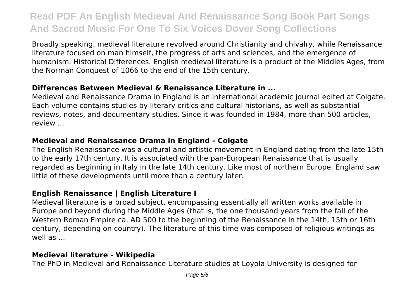Broadly speaking, medieval literature revolved around Christianity and chivalry, while Renaissance literature focused on man himself, the progress of arts and sciences, and the emergence of humanism. Historical Differences. English medieval literature is a product of the Middles Ages, from the Norman Conquest of 1066 to the end of the 15th century.

# **Differences Between Medieval & Renaissance Literature in ...**

Medieval and Renaissance Drama in England is an international academic journal edited at Colgate. Each volume contains studies by literary critics and cultural historians, as well as substantial reviews, notes, and documentary studies. Since it was founded in 1984, more than 500 articles, review ...

# **Medieval and Renaissance Drama in England - Colgate**

The English Renaissance was a cultural and artistic movement in England dating from the late 15th to the early 17th century. It is associated with the pan-European Renaissance that is usually regarded as beginning in Italy in the late 14th century. Like most of northern Europe, England saw little of these developments until more than a century later.

# **English Renaissance | English Literature I**

Medieval literature is a broad subject, encompassing essentially all written works available in Europe and beyond during the Middle Ages (that is, the one thousand years from the fall of the Western Roman Empire ca. AD 500 to the beginning of the Renaissance in the 14th, 15th or 16th century, depending on country). The literature of this time was composed of religious writings as well as ...

# **Medieval literature - Wikipedia**

The PhD in Medieval and Renaissance Literature studies at Loyola University is designed for